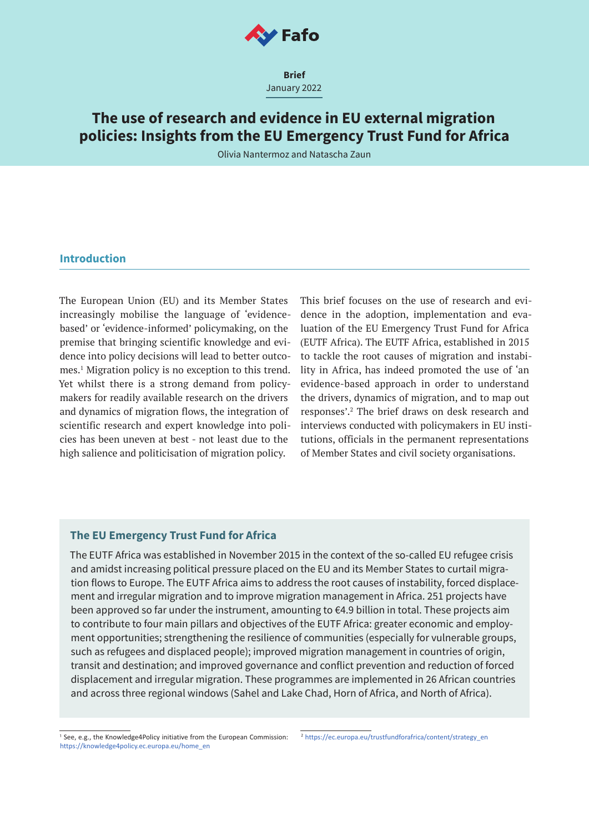

**Brief** January 2022

# **The use of research and evidence in EU external migration policies: Insights from the EU Emergency Trust Fund for Africa**

Olivia Nantermoz and Natascha Zaun

## **Introduction**

The European Union (EU) and its Member States increasingly mobilise the language of 'evidencebased' or 'evidence-informed' policymaking, on the premise that bringing scientific knowledge and evidence into policy decisions will lead to better outcomes.1 Migration policy is no exception to this trend. Yet whilst there is a strong demand from policymakers for readily available research on the drivers and dynamics of migration flows, the integration of scientific research and expert knowledge into policies has been uneven at best - not least due to the high salience and politicisation of migration policy.

This brief focuses on the use of research and evidence in the adoption, implementation and evaluation of the EU Emergency Trust Fund for Africa (EUTF Africa). The EUTF Africa, established in 2015 to tackle the root causes of migration and instability in Africa, has indeed promoted the use of 'an evidence-based approach in order to understand the drivers, dynamics of migration, and to map out responses'.2 The brief draws on desk research and interviews conducted with policymakers in EU institutions, officials in the permanent representations of Member States and civil society organisations.

# **The EU Emergency Trust Fund for Africa**

The EUTF Africa was established in November 2015 in the context of the so-called EU refugee crisis and amidst increasing political pressure placed on the EU and its Member States to curtail migration flows to Europe. The EUTF Africa aims to address the root causes of instability, forced displacement and irregular migration and to improve migration management in Africa. 251 projects have been approved so far under the instrument, amounting to €4.9 billion in total. These projects aim to contribute to four main pillars and objectives of the EUTF Africa: greater economic and employment opportunities; strengthening the resilience of communities (especially for vulnerable groups, such as refugees and displaced people); improved migration management in countries of origin, transit and destination; and improved governance and conflict prevention and reduction of forced displacement and irregular migration. These programmes are implemented in 26 African countries and across three regional windows (Sahel and Lake Chad, Horn of Africa, and North of Africa).

1 See, e.g., the Knowledge4Policy initiative from the European Commission: https://knowledge4policy.ec.europa.eu/home\_en 2 https://ec.europa.eu/trustfundforafrica/content/strategy\_en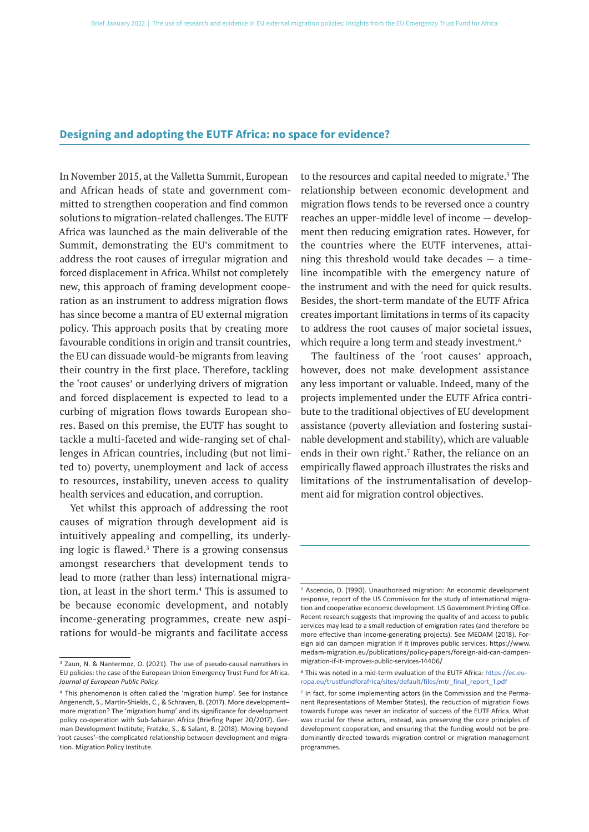### **Designing and adopting the EUTF Africa: no space for evidence?**

In November 2015, at the Valletta Summit, European and African heads of state and government committed to strengthen cooperation and find common solutions to migration-related challenges. The EUTF Africa was launched as the main deliverable of the Summit, demonstrating the EU's commitment to address the root causes of irregular migration and forced displacement in Africa. Whilst not completely new, this approach of framing development cooperation as an instrument to address migration flows has since become a mantra of EU external migration policy. This approach posits that by creating more favourable conditions in origin and transit countries, the EU can dissuade would-be migrants from leaving their country in the first place. Therefore, tackling the 'root causes' or underlying drivers of migration and forced displacement is expected to lead to a curbing of migration flows towards European shores. Based on this premise, the EUTF has sought to tackle a multi-faceted and wide-ranging set of challenges in African countries, including (but not limited to) poverty, unemployment and lack of access to resources, instability, uneven access to quality health services and education, and corruption.

Yet whilst this approach of addressing the root causes of migration through development aid is intuitively appealing and compelling, its underlying logic is flawed. $3$  There is a growing consensus amongst researchers that development tends to lead to more (rather than less) international migration, at least in the short term.<sup>4</sup> This is assumed to be because economic development, and notably income-generating programmes, create new aspirations for would-be migrants and facilitate access

to the resources and capital needed to migrate.<sup>5</sup> The relationship between economic development and migration flows tends to be reversed once a country reaches an upper-middle level of income — development then reducing emigration rates. However, for the countries where the EUTF intervenes, attaining this threshold would take decades — a timeline incompatible with the emergency nature of the instrument and with the need for quick results. Besides, the short-term mandate of the EUTF Africa creates important limitations in terms of its capacity to address the root causes of major societal issues, which require a long term and steady investment.<sup>6</sup>

The faultiness of the 'root causes' approach, however, does not make development assistance any less important or valuable. Indeed, many of the projects implemented under the EUTF Africa contribute to the traditional objectives of EU development assistance (poverty alleviation and fostering sustainable development and stability), which are valuable ends in their own right.<sup>7</sup> Rather, the reliance on an empirically flawed approach illustrates the risks and limitations of the instrumentalisation of development aid for migration control objectives.

<sup>3</sup> Zaun, N. & Nantermoz, O. (2021). The use of pseudo-causal narratives in EU policies: the case of the European Union Emergency Trust Fund for Africa. *Journal of European Public Policy.*

<sup>4</sup> This phenomenon is often called the 'migration hump'. See for instance Angenendt, S., Martin-Shields, C., & Schraven, B. (2017). More development– more migration? The 'migration hump' and its significance for development policy co-operation with Sub-Saharan Africa (Briefing Paper 20/2017). German Development Institute; Fratzke, S., & Salant, B. (2018). Moving beyond 'root causes'–the complicated relationship between development and migration. Migration Policy Institute.

<sup>5</sup> Ascencio, D. (1990). Unauthorised migration: An economic development response, report of the US Commission for the study of international migration and cooperative economic development. US Government Printing Office. Recent research suggests that improving the quality of and access to public services may lead to a small reduction of emigration rates (and therefore be more effective than income-generating projects). See MEDAM (2018). Foreign aid can dampen migration if it improves public services. https://www. medam-migration.eu/publications/policy-papers/foreign-aid-can-dampenmigration-if-it-improves-public-services-14406/

<sup>6</sup> This was noted in a mid-term evaluation of the EUTF Africa: https://ec.europa.eu/trustfundforafrica/sites/default/files/mtr\_final\_report\_1.pdf

<sup>&</sup>lt;sup>7</sup> In fact, for some implementing actors (in the Commission and the Permanent Representations of Member States), the reduction of migration flows towards Europe was never an indicator of success of the EUTF Africa. What was crucial for these actors, instead, was preserving the core principles of development cooperation, and ensuring that the funding would not be predominantly directed towards migration control or migration management programmes.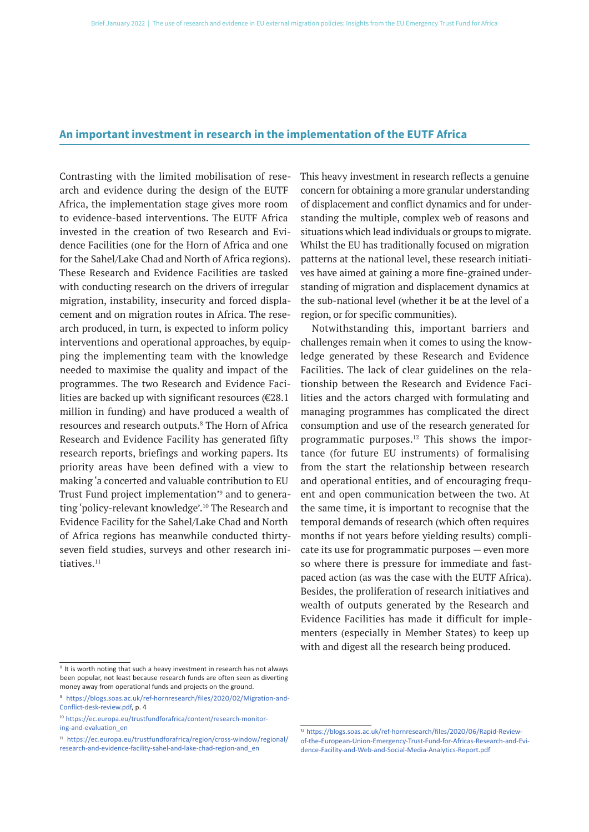### **An important investment in research in the implementation of the EUTF Africa**

Contrasting with the limited mobilisation of research and evidence during the design of the EUTF Africa, the implementation stage gives more room to evidence-based interventions. The EUTF Africa invested in the creation of two Research and Evidence Facilities (one for the Horn of Africa and one for the Sahel/Lake Chad and North of Africa regions). These Research and Evidence Facilities are tasked with conducting research on the drivers of irregular migration, instability, insecurity and forced displacement and on migration routes in Africa. The research produced, in turn, is expected to inform policy interventions and operational approaches, by equipping the implementing team with the knowledge needed to maximise the quality and impact of the programmes. The two Research and Evidence Facilities are backed up with significant resources ( $\epsilon$ 28.1) million in funding) and have produced a wealth of resources and research outputs.8 The Horn of Africa Research and Evidence Facility has generated fifty research reports, briefings and working papers. Its priority areas have been defined with a view to making 'a concerted and valuable contribution to EU Trust Fund project implementation'9 and to generating 'policy-relevant knowledge'.<sup>10</sup> The Research and Evidence Facility for the Sahel/Lake Chad and North of Africa regions has meanwhile conducted thirtyseven field studies, surveys and other research initiatives.11

This heavy investment in research reflects a genuine concern for obtaining a more granular understanding of displacement and conflict dynamics and for understanding the multiple, complex web of reasons and situations which lead individuals or groups to migrate. Whilst the EU has traditionally focused on migration patterns at the national level, these research initiatives have aimed at gaining a more fine-grained understanding of migration and displacement dynamics at the sub-national level (whether it be at the level of a region, or for specific communities).

Notwithstanding this, important barriers and challenges remain when it comes to using the knowledge generated by these Research and Evidence Facilities. The lack of clear guidelines on the relationship between the Research and Evidence Facilities and the actors charged with formulating and managing programmes has complicated the direct consumption and use of the research generated for programmatic purposes.<sup>12</sup> This shows the importance (for future EU instruments) of formalising from the start the relationship between research and operational entities, and of encouraging frequent and open communication between the two. At the same time, it is important to recognise that the temporal demands of research (which often requires months if not years before yielding results) complicate its use for programmatic purposes — even more so where there is pressure for immediate and fastpaced action (as was the case with the EUTF Africa). Besides, the proliferation of research initiatives and wealth of outputs generated by the Research and Evidence Facilities has made it difficult for implementers (especially in Member States) to keep up with and digest all the research being produced.

<sup>&</sup>lt;sup>8</sup> It is worth noting that such a heavy investment in research has not always been popular, not least because research funds are often seen as diverting money away from operational funds and projects on the ground.

<sup>9</sup> https://blogs.soas.ac.uk/ref-hornresearch/files/2020/02/Migration-and-Conflict-desk-review.pdf, p. 4

<sup>10</sup> https://ec.europa.eu/trustfundforafrica/content/research-monitoring-and-evaluation\_en

<sup>11</sup> https://ec.europa.eu/trustfundforafrica/region/cross-window/regional/ research-and-evidence-facility-sahel-and-lake-chad-region-and\_en

<sup>12</sup> https://blogs.soas.ac.uk/ref-hornresearch/files/2020/06/Rapid-Reviewof-the-European-Union-Emergency-Trust-Fund-for-Africas-Research-and-Evidence-Facility-and-Web-and-Social-Media-Analytics-Report.pdf